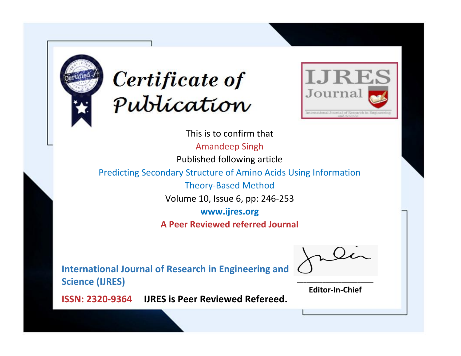



This is to confirm that Amandeep Singh Published following article Predicting Secondary Structure of Amino Acids Using Information Theory-Based Method Volume 10, Issue 6, pp: 246-253 **www.ijres.org A Peer Reviewed referred Journal**

**International Journal of Research in Engineering and Science (IJRES)**

\_\_\_\_\_\_\_\_\_\_\_\_\_\_\_\_\_\_\_\_\_\_\_\_ **Editor-In-Chief**

**Journal.**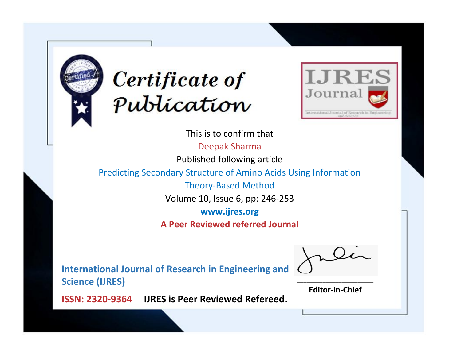



This is to confirm that Deepak Sharma Published following article Predicting Secondary Structure of Amino Acids Using Information Theory-Based Method Volume 10, Issue 6, pp: 246-253 **www.ijres.org A Peer Reviewed referred Journal**

**International Journal of Research in Engineering and Science (IJRES)**

\_\_\_\_\_\_\_\_\_\_\_\_\_\_\_\_\_\_\_\_\_\_\_\_ **Editor-In-Chief**

**Journal.**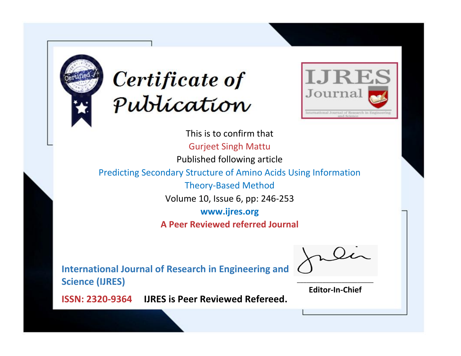



This is to confirm that Gurjeet Singh Mattu Published following article Predicting Secondary Structure of Amino Acids Using Information Theory-Based Method Volume 10, Issue 6, pp: 246-253 **www.ijres.org A Peer Reviewed referred Journal**

**International Journal of Research in Engineering and Science (IJRES)**

\_\_\_\_\_\_\_\_\_\_\_\_\_\_\_\_\_\_\_\_\_\_\_\_ **Editor-In-Chief**

**Journal.**